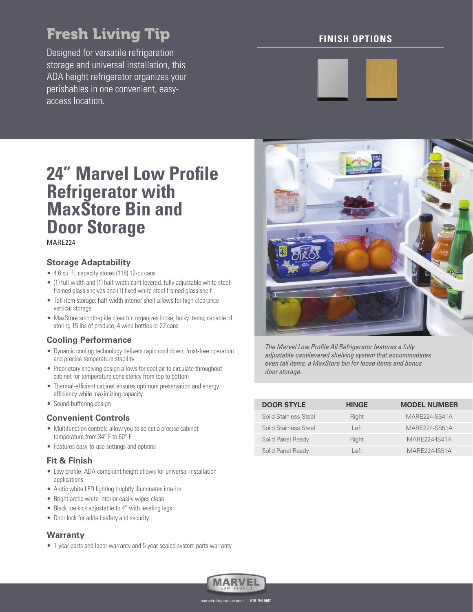# Fresh Living Tip

Designed for versatile refrigeration storage and universal installation, this ADA height refrigerator organizes your perishables in one convenient, easyaccess location.

# **FINISH OPTIONS**



# **24" Marvel Low Profile Refrigerator with MaxStore Bin and Door Storage**

### MARE224

### **Storage Adaptability**

- 4.6 cu. ft. capacity stores (118) 12-oz cans
- (1) full-width and (1) half-width cantilevered, fully adjustable white steelframed glass shelves and (1) fixed white steel framed glass shelf
- Tall item storage: half-width interior shelf allows for high-clearance vertical storage
- MaxStore smooth-glide clear bin organizes loose, bulky items; capable of storing 15 lbs of produce, 4 wine bottles or 22 cans

## **Cooling Performance**

- Dynamic cooling technology delivers rapid cool down, frost-free operation and precise temperature stability
- Proprietary shelving design allows for cool air to circulate throughout cabinet for temperature consistency from top to bottom
- Thermal-efficient cabinet ensures optimum preservation and energy efficiency while maximizing capacity
- Sound-buffering design

#### **Convenient Controls**

- Multifunction controls allow you to select a precise cabinet temperature from 34° F to 60° F
- Features easy-to-use settings and options

#### **Fit & Finish**

- Low profile, ADA-compliant height allows for universal installation applications
- Arctic white LED lighting brightly illuminates interior
- Bright arctic white interior easily wipes clean
- Black toe kick adjustable to 4" with leveling legs
- Door lock for added safety and security

#### **Warranty**

• 1-year parts and labor warranty and 5-year sealed system parts warranty



The Marvel Low Profile All Refrigerator features a fully adjustable cantilevered shelving system that accommodates even tall items, a MaxStore bin for loose items and bonus door storage.

| <b>DOOR STYLE</b>     | <b>HINGE</b> | <b>MODEL NUMBER</b>  |
|-----------------------|--------------|----------------------|
| Solid Stainless Steel | Right        | MARE224-SS41A        |
| Solid Stainless Steel | l eft        | MARE224-SS51A        |
| Solid Panel Ready     | Right        | <b>MARE224-IS41A</b> |
| Solid Panel Ready     | l eft        | MARF224-IS51A        |